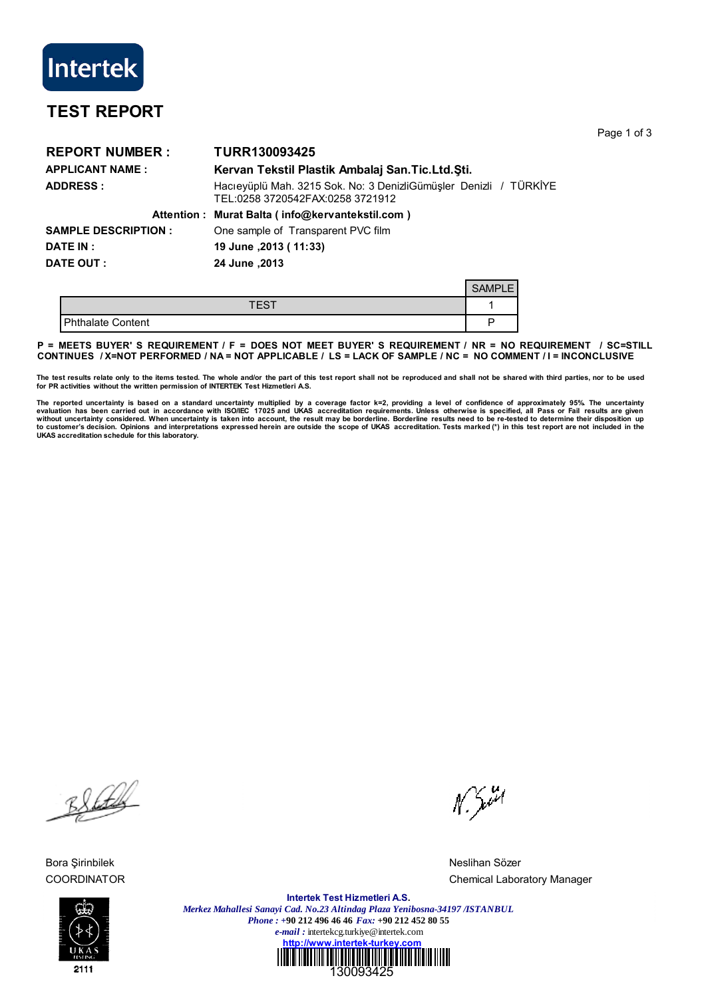

## **TEST REPORT**

Page 1 of 3

| <b>REPORT NUMBER:</b>      | TURR130093425                                                                                         |  |
|----------------------------|-------------------------------------------------------------------------------------------------------|--|
| <b>APPLICANT NAME:</b>     | Kervan Tekstil Plastik Ambalaj San. Tic. Ltd. Sti.                                                    |  |
| <b>ADDRESS:</b>            | Hacıeyüplü Mah. 3215 Sok. No: 3 DenizliGümüşler Denizli / TÜRKİYE<br>TEL:0258 3720542FAX:0258 3721912 |  |
|                            | Attention: Murat Balta (info@kervantekstil.com)                                                       |  |
| <b>SAMPLE DESCRIPTION:</b> | One sample of Transparent PVC film                                                                    |  |
| <b>DATE IN:</b>            | 19 June , 2013 (11:33)                                                                                |  |
| DATE OUT :                 | 2013, June                                                                                            |  |
|                            |                                                                                                       |  |

|                   | <b>SAM</b><br>$-$ |
|-------------------|-------------------|
| TES <sup>.</sup>  |                   |
| Phthalate Content |                   |

**P = MEETS BUYER' S REQUIREMENT / F = DOES NOT MEET BUYER' S REQUIREMENT / NR = NO REQUIREMENT / SC=STILL CONTINUES / X=NOT PERFORMED / NA = NOT APPLICABLE / LS = LACK OF SAMPLE / NC = NO COMMENT / I = INCONCLUSIVE**

The test results relate only to the items tested. The whole and/or the part of this test report shall not be reproduced and shall not be shared with third parties, nor to be used<br>for PR activities without the written permi

The reported uncertainty is based on a standard uncertainty multiplied by a coverage factor k=2, providing a level of confidence of approximately 95%. The uncertainty<br>evaluation has been carried out in accordance with ISO/ **UKAS accreditation schedule for this laboratory.**

Black

Bora Şirinbilek Neslihan Sözer



 $N. \frac{3}{2}$ 

COORDINATOR COORDINATOR

**Intertek Test Hizmetleri A.S.** *Merkez Mahallesi Sanayi Cad. No.23 Altindag Plaza Yenibosna-34197 /ISTANBUL Phone : +***90 212 496 46 46** *Fax:* **+90 212 452 80 55** *e-mail :* intertekcg.turkiye@intertek.com **http://www.intertek-turkey.com**

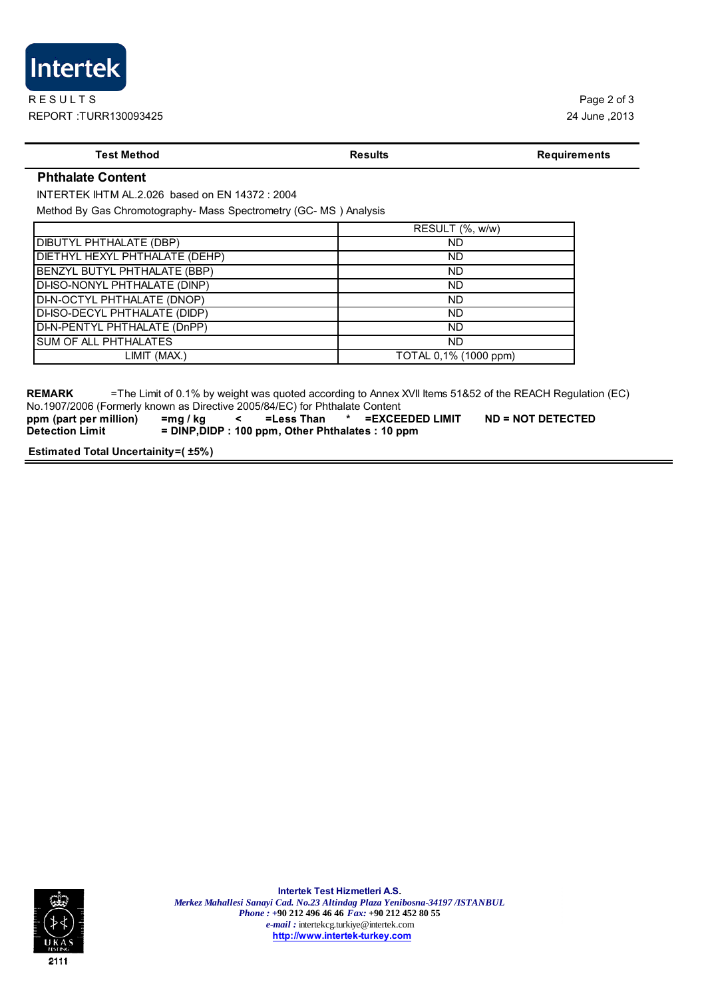

## **Test Method Results Results Results Requirements**

## **Phthalate Content**

INTERTEK IHTM AL.2.026 based on EN 14372 : 2004

Method By Gas Chromotography- Mass Spectrometry (GC- MS ) Analysis

|                                     | RESULT (%, w/w)       |
|-------------------------------------|-----------------------|
| DIBUTYL PHTHALATE (DBP)             | ND                    |
| DIETHYL HEXYL PHTHALATE (DEHP)      | <b>ND</b>             |
| <b>BENZYL BUTYL PHTHALATE (BBP)</b> | ND                    |
| DI-ISO-NONYL PHTHALATE (DINP)       | <b>ND</b>             |
| DI-N-OCTYL PHTHALATE (DNOP)         | <b>ND</b>             |
| DI-ISO-DECYL PHTHALATE (DIDP)       | ND                    |
| DI-N-PENTYL PHTHALATE (DnPP)        | <b>ND</b>             |
| SUM OF ALL PHTHALATES               | ND                    |
| LIMIT (MAX.)                        | TOTAL 0,1% (1000 ppm) |

**REMARK** =The Limit of 0.1% by weight was quoted according to Annex XVII Items 51&52 of the REACH Regulation (EC) No.1907/2006 (Formerly known as Directive 2005/84/EC) for Phthalate Content

**ppm (part per million) =mg / kg < =Less Than \* =EXCEEDED LIMIT ND = NOT DETECTED Detection Limit** = DINP, DIDP : 100 ppm, Other Phthalates : 10 ppm

**Estimated Total Uncertainity=( ±5%)**